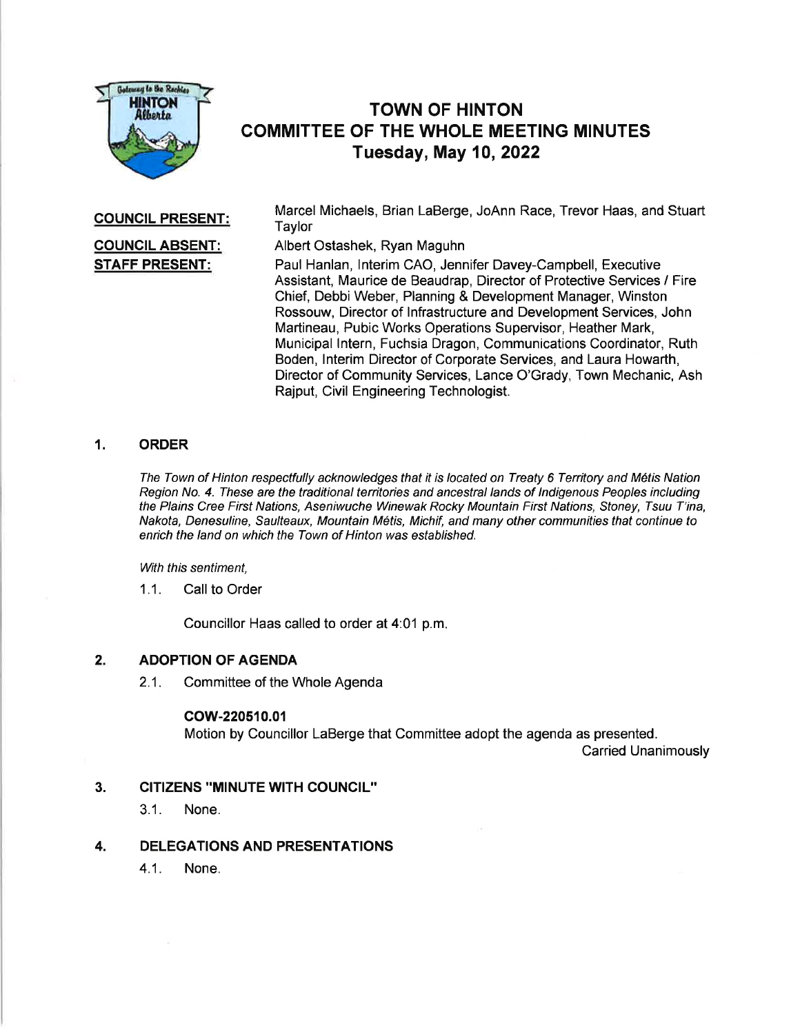

# TOWN OF HINTON COMMITTEE OF THE WHOLE MEETING MINUTES Tuesday, May 10,2022

### COUNCIL PRESENT:

# COUNCIL ABSENT: STAFF PRESENT:

Marcel Michaels, Brian LaBerge, JoAnn Race, Trevor Haas, and Stuart **Taylor** 

Albert Ostashek, Ryan Maguhn

Paul Hanlan, lnterim CAO, Jennifer Davey-Campbell, Executive Assistant, Maurice de Beaudrap, Director of Protective Services / Fire Chief, Debbi Weber, Planning & Development Manager, Winston Rossouw, Director of lnfrastructure and Development Services, John Martineau, Pubic Works Operations Supervisor, Heather Mark, Municipal lntern, Fuchsia Dragon, Communications Coordinator, Ruth Boden, lnterim Director of Corporate Services, and Laura Howarth, Director of Community Services, Lance O'Grady, Town Mechanic, Ash Rajput, Civil Engineering Technologist.

## 1. ORDER

The Town of Hinton respectfully acknowledges fhaf it is located on Treaty 6 Tenitory and M6tis Nation Region No. 4. These are the traditional territories and ancestral lands of Indigenous Peoples including the Plains Cree First Nations, Aseniwuche Winewak Rocky Mountain First Nations, Stoney, Tsuu T'ina, Nakota, Denesuline, Saulteaux, Mountain M6tis, Michif , and many other communities that continue to enrich the land on which the Town of Hinton was established.

With this sentiment,

1.1. Call to Order

Councillor Haas called to order at 4:01 p.m

### 2. ADOPTION OF AGENDA

2.1. Committee of the Whole Agenda

#### cow-220510.01

Motion by Councillor LaBerge that Committee adopt the agenda as presented.

Carried Unanimously

- CITIZENS "MINUTE WITH COUNCIL" 3.
	- 3.1. None.
- DELEGATIONS AND PRESENTATIONS 4.
	- 4.1. None.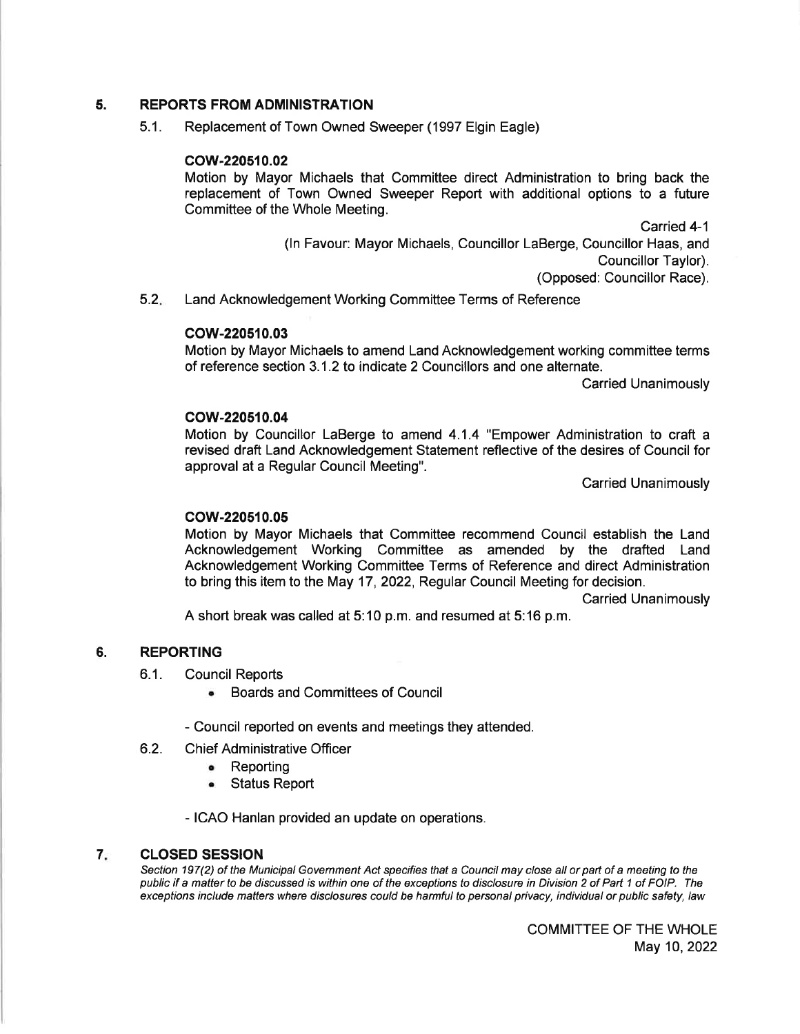#### 5. REPORTS FROM ADMINISTRATION

5.1. Replacement of Town Owned Sweeper (1997 Elgin Eagle)

### cow-220510.02

Motion by Mayor Michaels that Committee direct Administration to bring back the replacement of Town Owned Sweeper Report with additional options to a future Committee of the Whole Meeting.

> Carried 4-1 (ln Favour: Mayor Michaels, Councillor LaBerge, Councillor Haas, and Councillor Taylor). (Opposed: Councillor Race).

 $5.2.$ Land Acknowledgement Working Committee Terms of Reference

#### cow-220510.03

Motion by Mayor Michaels to amend Land Acknowledgement working committee terms of reference section 3.1 .2 to indicate 2 Councillors and one alternate.

Carried Unanimously

#### cow-220510.04

Motion by Councillor LaBerge to amend 4.1.4 "Empower Administration to craft a revised draft Land Acknowledgement Statement reflective of the desires of Council for approval at a Regular Council Meeting".

Carried Unanimously

#### cow-220510.05

Motion by Mayor Michaels that Committee recommend Council establish the Land Acknowledgement Working Committee as amended by the drafted Land Acknowledgement Working Committee Terms of Reference and direct Administration to bring this item to the May 17,2O22, Regular Council Meeting for decision.

Carried Unanimously

A short break was called at 5:10 p.m. and resumed at 5:16 p.m.

#### 6. REPORTING

- 6.1. Council Reports
	- . Boards and Committees of Council
	- Council reported on events and meetings they attended.
- 6.2. **Chief Administrative Officer** 
	- . Reporting
	- . Status Report

- ICAO Hanlan provided an update on operations.

#### 7 CLOSED SESSION

Section 197(2) of the Municipal Government Act specifies that a Council may close all or part of a meeting to the public if a matter to be discussed is within one of the exceptions to disclosure in Division 2 of Part 1 of FOIP. The exceptions include matters where disclosures could be harmful to personal privacy, individual or public safety, law

> COMMITTEE OF THE WHOLE May 10,2022